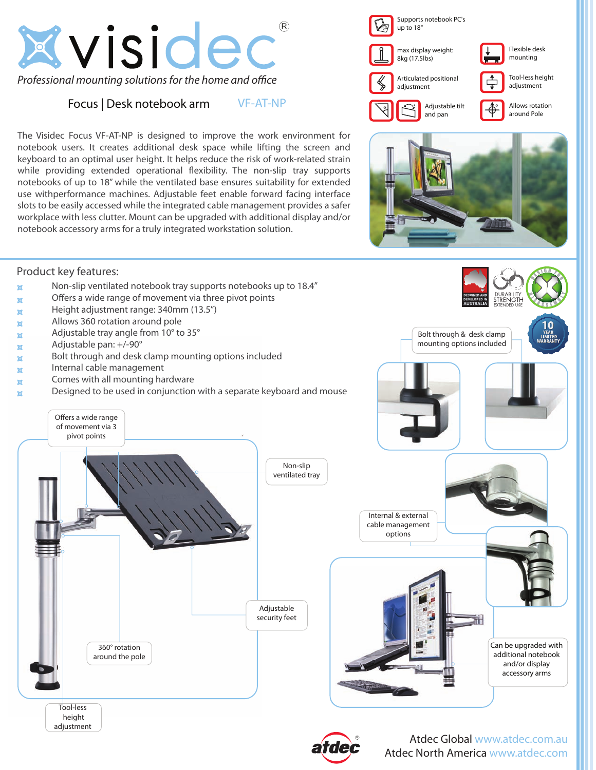

# Focus | Desk notebook arm

The Visidec Focus VF-AT-NP is designed to improve the work environment for notebook users. It creates additional desk space while lifting the screen and keyboard to an optimal user height. It helps reduce the risk of work-related strain while providing extended operational flexibility. The non-slip tray supports notebooks of up to 18" while the ventilated base ensures suitability for extended use withperformance machines. Adjustable feet enable forward facing interface slots to be easily accessed while the integrated cable management provides a safer workplace with less clutter. Mount can be upgraded with additional display and/or notebook accessory arms for a truly integrated workstation solution.

VF-AT-NP





# Product key features:  $\alpha$  Non-slip ventilated notebook tray supports notebooks up to 18.4"  $\mathbf{x}$  Offers a wide range of movement via three pivot points  $\mathbf{x}$  Height adjustment range: 340mm (13.5")  $\mathbf{x}$  Allows 360 rotation around pole  $\alpha$  Adjustable tray angle from 10 $\degree$  to 35 $\degree$  $\mathbf{A}$  Adjustable pan:  $+/-90^{\circ}$  $\mathbf{x}$  Bolt through and desk clamp mounting options included  $\mathbf{x}$  Internal cable management  $\mathbf{x}$  Comes with all mounting hardware  $\mathbf{r}$  Designed to be used in conjunction with a separate keyboard and mouse Can be upgraded with additional notebook and/or display accessory arms 360° rotation around the pole Non-slip ventilated tray Adjustable security feet Internal & external cable management options Bolt through & desk clamp mounting options included Offers a wide range of movement via 3 pivot points Tool-less height adjustment